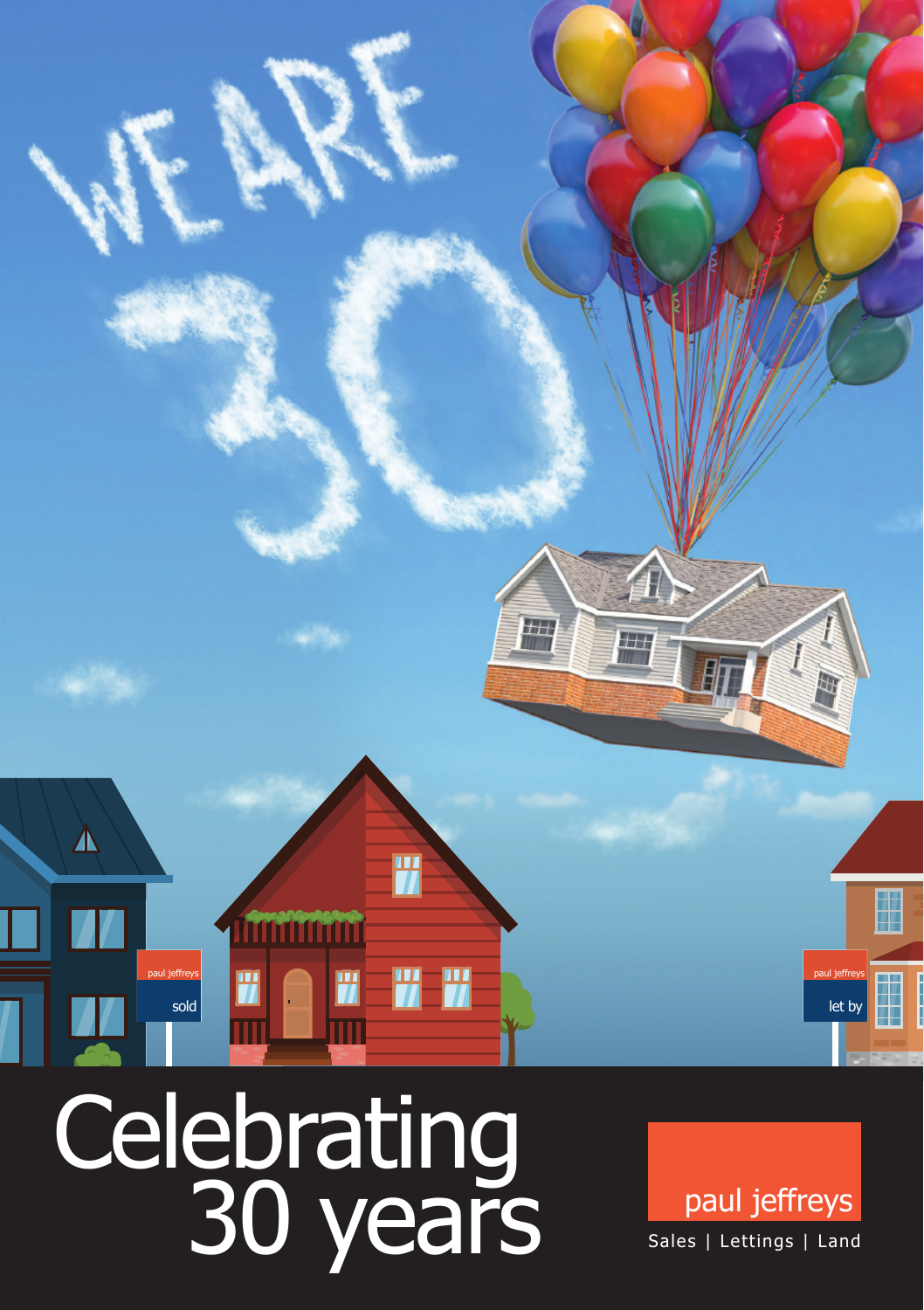

# Celebrating<br>30 years

paul jeffreys Sales | Lettings | Land